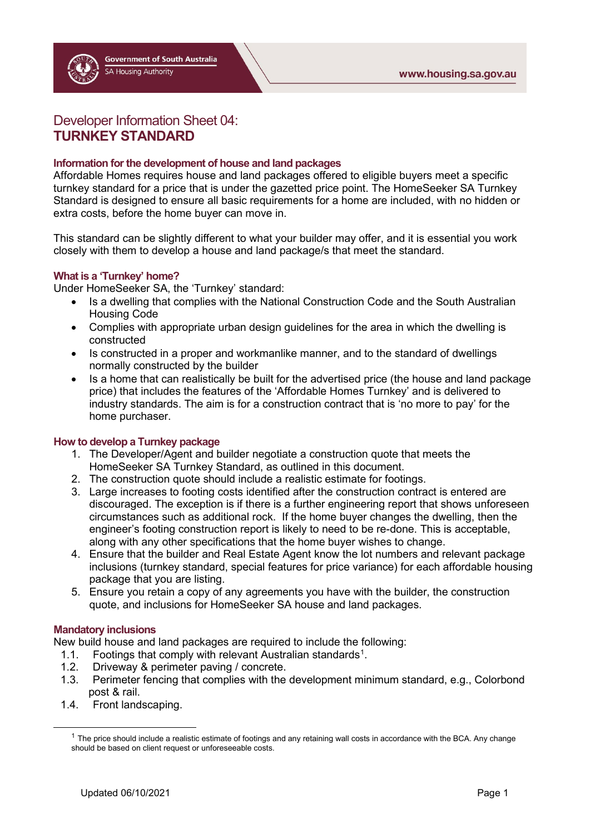# Developer Information Sheet 04: **TURNKEY STANDARD**

### **Information for the development of house and land packages**

Affordable Homes requires house and land packages offered to eligible buyers meet a specific turnkey standard for a price that is under the gazetted price point. The HomeSeeker SA Turnkey Standard is designed to ensure all basic requirements for a home are included, with no hidden or extra costs, before the home buyer can move in.

This standard can be slightly different to what your builder may offer, and it is essential you work closely with them to develop a house and land package/s that meet the standard.

#### **What is a 'Turnkey' home?**

Under HomeSeeker SA, the 'Turnkey' standard:

- Is a dwelling that complies with the National Construction Code and the South Australian Housing Code
- Complies with appropriate urban design guidelines for the area in which the dwelling is constructed
- Is constructed in a proper and workmanlike manner, and to the standard of dwellings normally constructed by the builder
- Is a home that can realistically be built for the advertised price (the house and land package price) that includes the features of the 'Affordable Homes Turnkey' and is delivered to industry standards. The aim is for a construction contract that is 'no more to pay' for the home purchaser.

#### **How to develop a Turnkey package**

- 1. The Developer/Agent and builder negotiate a construction quote that meets the HomeSeeker SA Turnkey Standard, as outlined in this document.
- 2. The construction quote should include a realistic estimate for footings.
- 3. Large increases to footing costs identified after the construction contract is entered are discouraged. The exception is if there is a further engineering report that shows unforeseen circumstances such as additional rock. If the home buyer changes the dwelling, then the engineer's footing construction report is likely to need to be re-done. This is acceptable, along with any other specifications that the home buyer wishes to change.
- 4. Ensure that the builder and Real Estate Agent know the lot numbers and relevant package inclusions (turnkey standard, special features for price variance) for each affordable housing package that you are listing.
- 5. Ensure you retain a copy of any agreements you have with the builder, the construction quote, and inclusions for HomeSeeker SA house and land packages.

#### **Mandatory inclusions**

New build house and land packages are required to include the following:

- [1](#page-0-0).1. Footings that comply with relevant Australian standards<sup>1</sup>.
- 1.2. Driveway & perimeter paving / concrete.<br>1.3 Perimeter fencing that complies with the
- 1.3. Perimeter fencing that complies with the development minimum standard, e.g., Colorbond post & rail.
- <span id="page-0-0"></span>1.4. Front landscaping.

 $1$  The price should include a realistic estimate of footings and any retaining wall costs in accordance with the BCA. Any change should be based on client request or unforeseeable costs.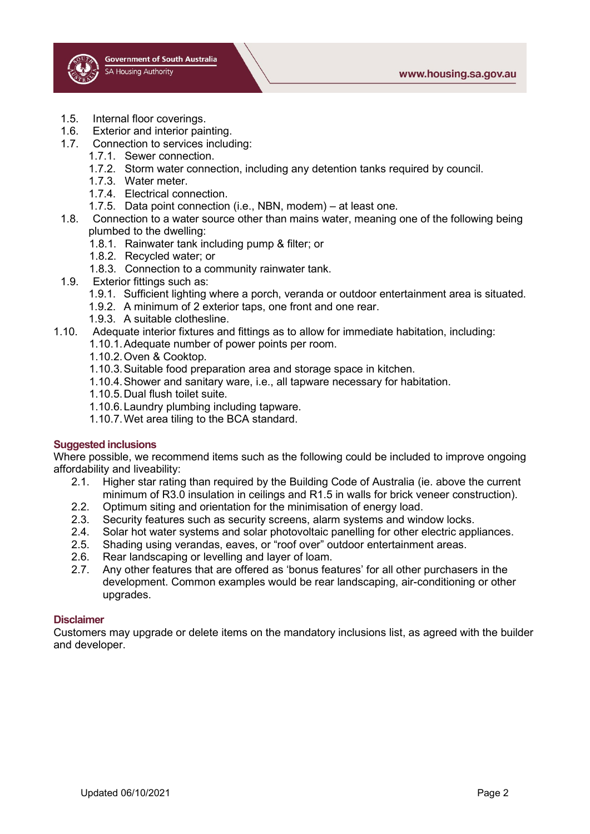- 1.5. Internal floor coverings.
- 1.6. Exterior and interior painting.
- 1.7. Connection to services including:
	- 1.7.1. Sewer connection.
	- 1.7.2. Storm water connection, including any detention tanks required by council.
	- 1.7.3. Water meter.
	- 1.7.4. Electrical connection.
	- 1.7.5. Data point connection (i.e., NBN, modem) at least one.
- 1.8. Connection to a water source other than mains water, meaning one of the following being plumbed to the dwelling:
	- 1.8.1. Rainwater tank including pump & filter; or
	- 1.8.2. Recycled water; or
	- 1.8.3. Connection to a community rainwater tank.
- 1.9. Exterior fittings such as:
	- 1.9.1. Sufficient lighting where a porch, veranda or outdoor entertainment area is situated.
	- 1.9.2. A minimum of 2 exterior taps, one front and one rear.
	- 1.9.3. A suitable clothesline.
- 1.10. Adequate interior fixtures and fittings as to allow for immediate habitation, including:
	- 1.10.1.Adequate number of power points per room.
	- 1.10.2.Oven & Cooktop.
	- 1.10.3.Suitable food preparation area and storage space in kitchen.
	- 1.10.4.Shower and sanitary ware, i.e., all tapware necessary for habitation.
	- 1.10.5.Dual flush toilet suite.
	- 1.10.6.Laundry plumbing including tapware.
	- 1.10.7.Wet area tiling to the BCA standard.

#### **Suggested inclusions**

Where possible, we recommend items such as the following could be included to improve ongoing affordability and liveability:

- 2.1. Higher star rating than required by the Building Code of Australia (ie. above the current minimum of R3.0 insulation in ceilings and R1.5 in walls for brick veneer construction).
- 2.2. Optimum siting and orientation for the minimisation of energy load.
- 2.3. Security features such as security screens, alarm systems and window locks.
- 2.4. Solar hot water systems and solar photovoltaic panelling for other electric appliances.
- 2.5. Shading using verandas, eaves, or "roof over" outdoor entertainment areas.
- 2.6. Rear landscaping or levelling and layer of loam.
- 2.7. Any other features that are offered as 'bonus features' for all other purchasers in the development. Common examples would be rear landscaping, air-conditioning or other upgrades.

#### **Disclaimer**

Customers may upgrade or delete items on the mandatory inclusions list, as agreed with the builder and developer.